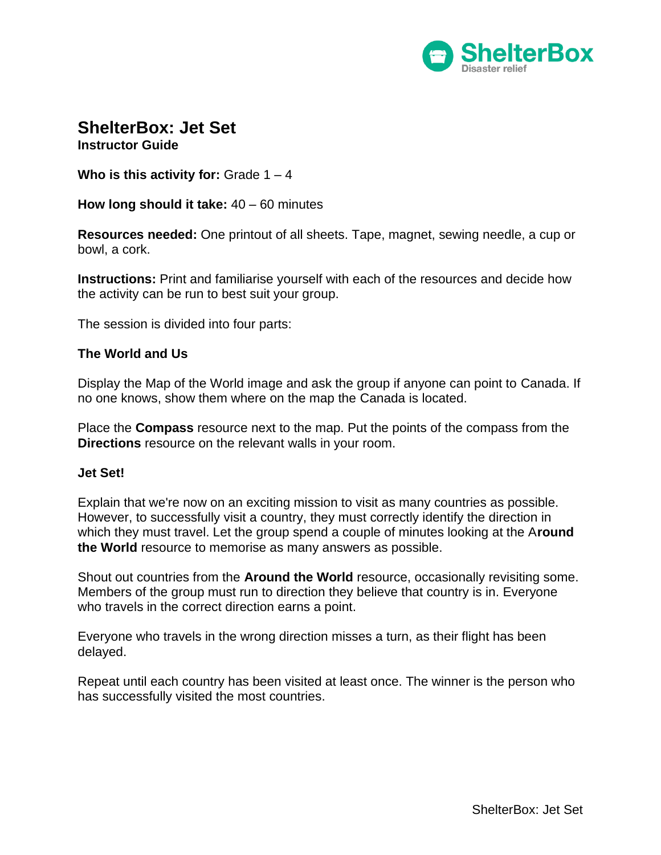

# **ShelterBox: Jet Set**

**Instructor Guide**

**Who is this activity for:** Grade 1 – 4

**How long should it take:** 40 – 60 minutes

**Resources needed:** One printout of all sheets. Tape, magnet, sewing needle, a cup or bowl, a cork.

**Instructions:** Print and familiarise yourself with each of the resources and decide how the activity can be run to best suit your group.

The session is divided into four parts:

#### **The World and Us**

Display the Map of the World image and ask the group if anyone can point to Canada. If no one knows, show them where on the map the Canada is located.

Place the **Compass** resource next to the map. Put the points of the compass from the **Directions** resource on the relevant walls in your room.

#### **Jet Set!**

Explain that we're now on an exciting mission to visit as many countries as possible. However, to successfully visit a country, they must correctly identify the direction in which they must travel. Let the group spend a couple of minutes looking at the A**round the World** resource to memorise as many answers as possible.

Shout out countries from the **Around the World** resource, occasionally revisiting some. Members of the group must run to direction they believe that country is in. Everyone who travels in the correct direction earns a point.

Everyone who travels in the wrong direction misses a turn, as their flight has been delayed.

Repeat until each country has been visited at least once. The winner is the person who has successfully visited the most countries.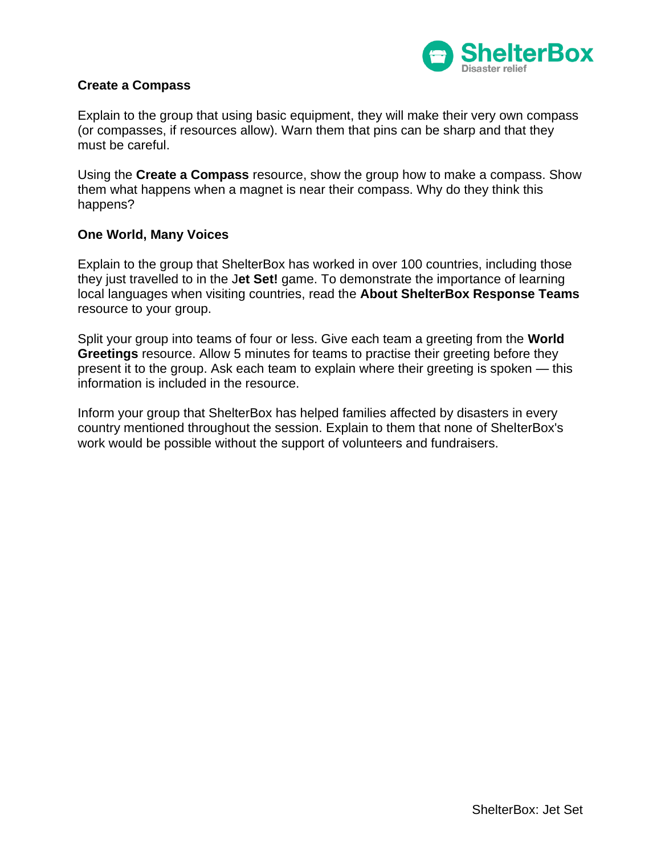

#### **Create a Compass**

Explain to the group that using basic equipment, they will make their very own compass (or compasses, if resources allow). Warn them that pins can be sharp and that they must be careful.

Using the **Create a Compass** resource, show the group how to make a compass. Show them what happens when a magnet is near their compass. Why do they think this happens?

#### **One World, Many Voices**

Explain to the group that ShelterBox has worked in over 100 countries, including those they just travelled to in the J**et Set!** game. To demonstrate the importance of learning local languages when visiting countries, read the **About ShelterBox Response Teams**  resource to your group.

Split your group into teams of four or less. Give each team a greeting from the **World Greetings** resource. Allow 5 minutes for teams to practise their greeting before they present it to the group. Ask each team to explain where their greeting is spoken — this information is included in the resource.

Inform your group that ShelterBox has helped families affected by disasters in every country mentioned throughout the session. Explain to them that none of ShelterBox's work would be possible without the support of volunteers and fundraisers.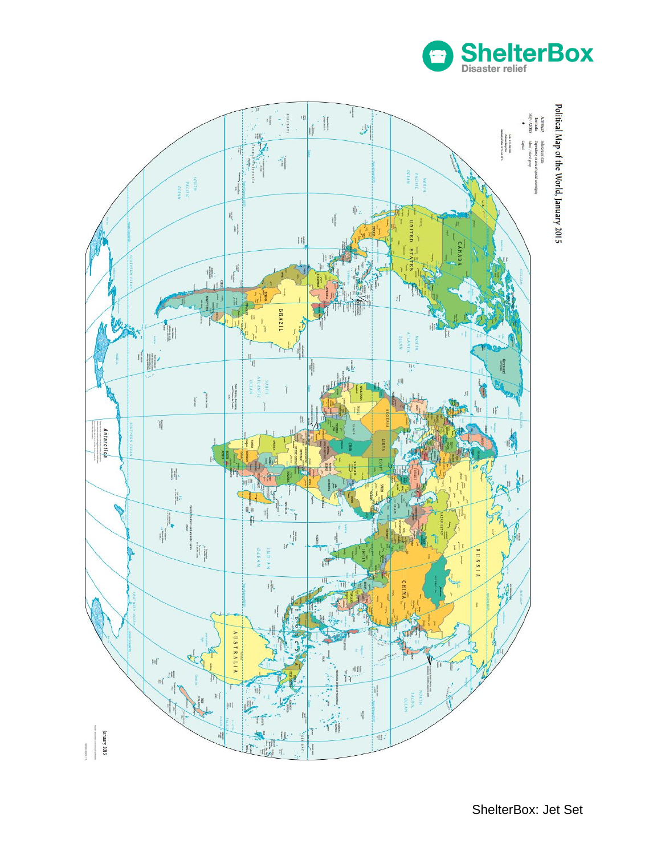

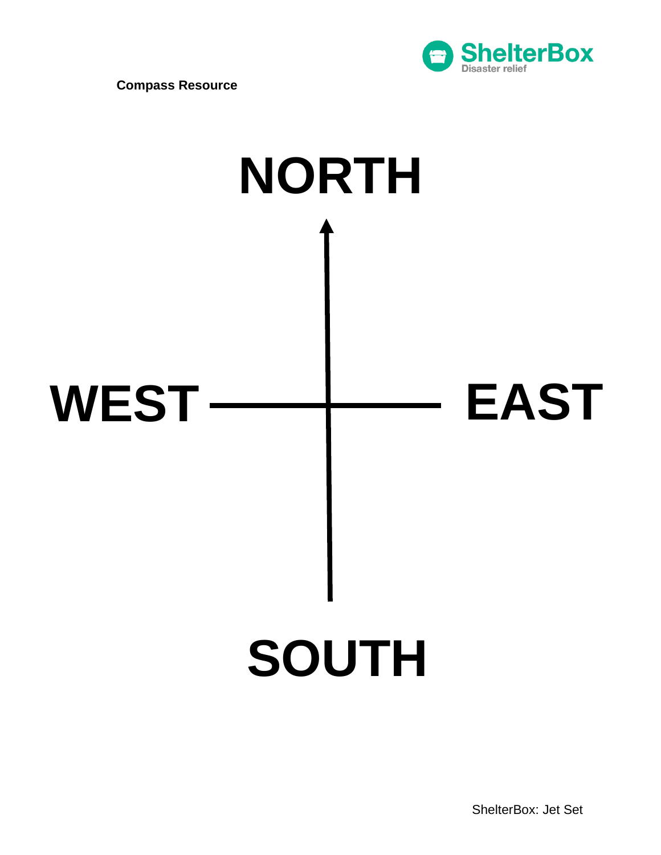





ShelterBox: Jet Set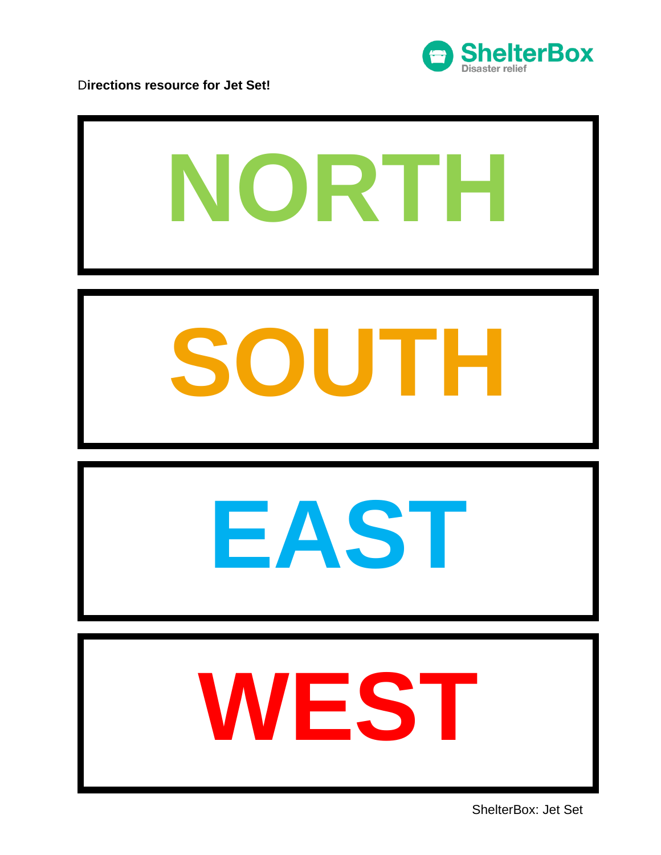

D**irections resource for Jet Set!**

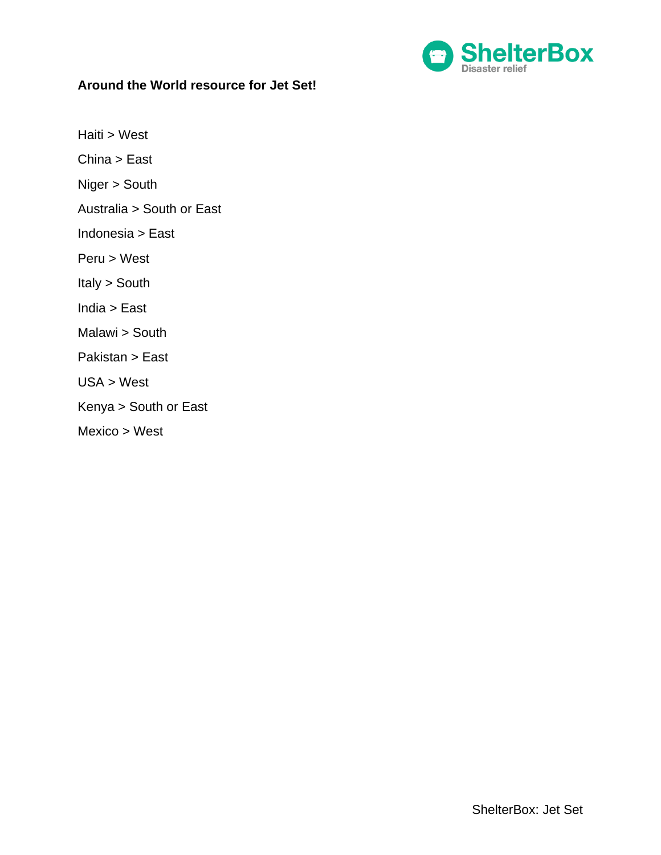

# **Around the World resource for Jet Set!**

Haiti > West

China > East

Niger > South

Australia > South or East

Indonesia > East

Peru > West

Italy > South

India > East

Malawi > South

Pakistan > East

USA > West

Kenya > South or East

Mexico > West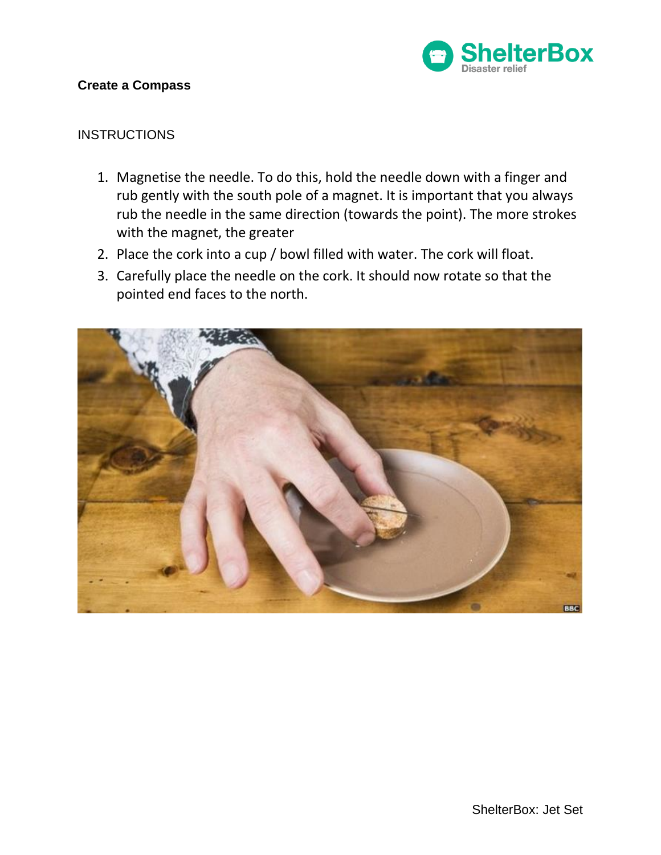

### **Create a Compass**

## **INSTRUCTIONS**

- 1. Magnetise the needle. To do this, hold the needle down with a finger and rub gently with the south pole of a magnet. It is important that you always rub the needle in the same direction (towards the point). The more strokes with the magnet, the greater
- 2. Place the cork into a cup / bowl filled with water. The cork will float.
- 3. Carefully place the needle on the cork. It should now rotate so that the pointed end faces to the north.

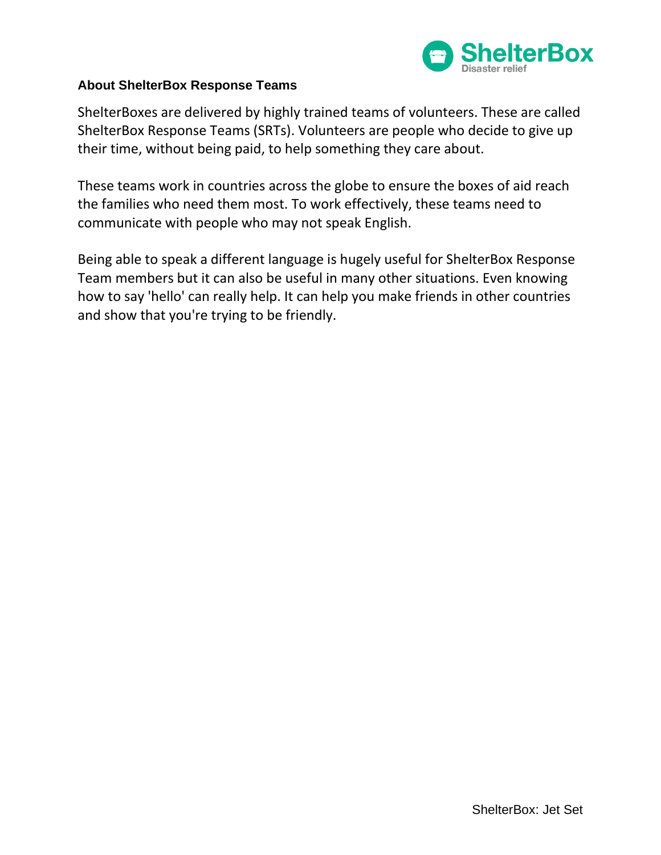

# **About ShelterBox Response Teams**

ShelterBoxes are delivered by highly trained teams of volunteers. These are called ShelterBox Response Teams (SRTs). Volunteers are people who decide to give up their time, without being paid, to help something they care about.

These teams work in countries across the globe to ensure the boxes of aid reach the families who need them most. To work effectively, these teams need to communicate with people who may not speak English.

Being able to speak a different language is hugely useful for ShelterBox Response Team members but it can also be useful in many other situations. Even knowing how to say 'hello' can really help. It can help you make friends in other countries and show that you're trying to be friendly.